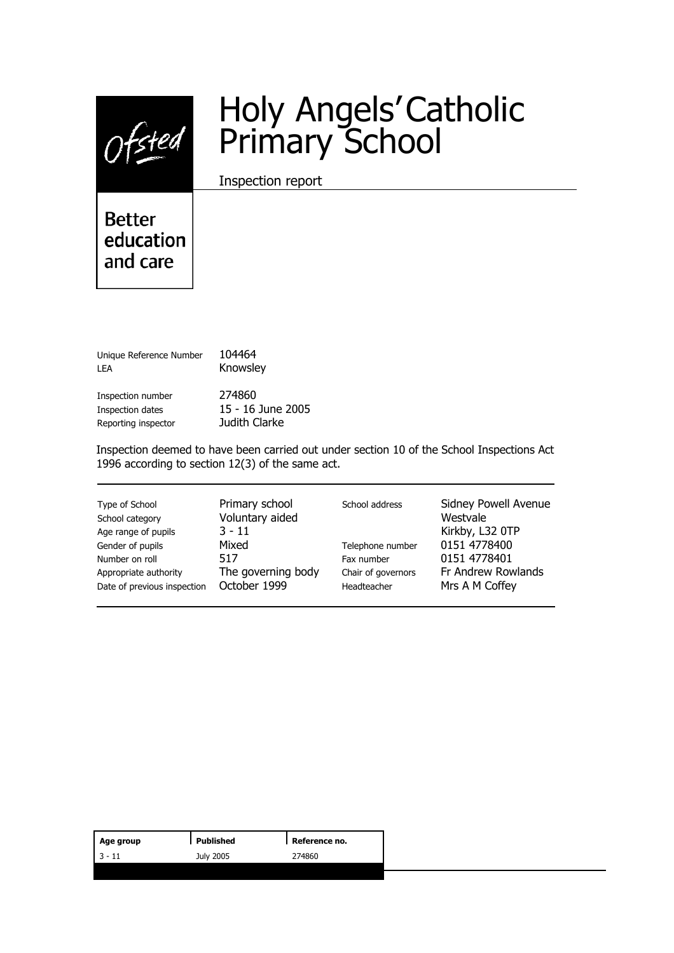

# Holy Angels' Catholic Primary School

Inspection report

**Better** education and care

Unique Reference Number 104464 LEA **Knowsley** 

Inspection number 274860 Inspection dates 15 - 16 June 2005 Reporting inspector Judith Clarke

Inspection deemed to have been carried out under section 10 of the School Inspections Act 1996 according to section 12(3) of the same act.

| Type of School<br>School category<br>Age range of pupils<br>Gender of pupils<br>Number on roll<br>Appropriate authority<br>Date of previous inspection | Primary school<br>Voluntary aided<br>$3 - 11$<br>Mixed<br>517<br>The governing body<br>October 1999 | School address<br>Telephone number<br>Fax number<br>Chair of governors<br>Headteacher | Sidney Powell Avenue<br>Westvale<br>Kirkby, L32 0TP<br>0151 4778400<br>0151 4778401<br>Fr Andrew Rowlands<br>Mrs A M Coffey |
|--------------------------------------------------------------------------------------------------------------------------------------------------------|-----------------------------------------------------------------------------------------------------|---------------------------------------------------------------------------------------|-----------------------------------------------------------------------------------------------------------------------------|
|--------------------------------------------------------------------------------------------------------------------------------------------------------|-----------------------------------------------------------------------------------------------------|---------------------------------------------------------------------------------------|-----------------------------------------------------------------------------------------------------------------------------|

| Age group | Published | Reference no. |
|-----------|-----------|---------------|
| $13 - 11$ | July 2005 | 274860        |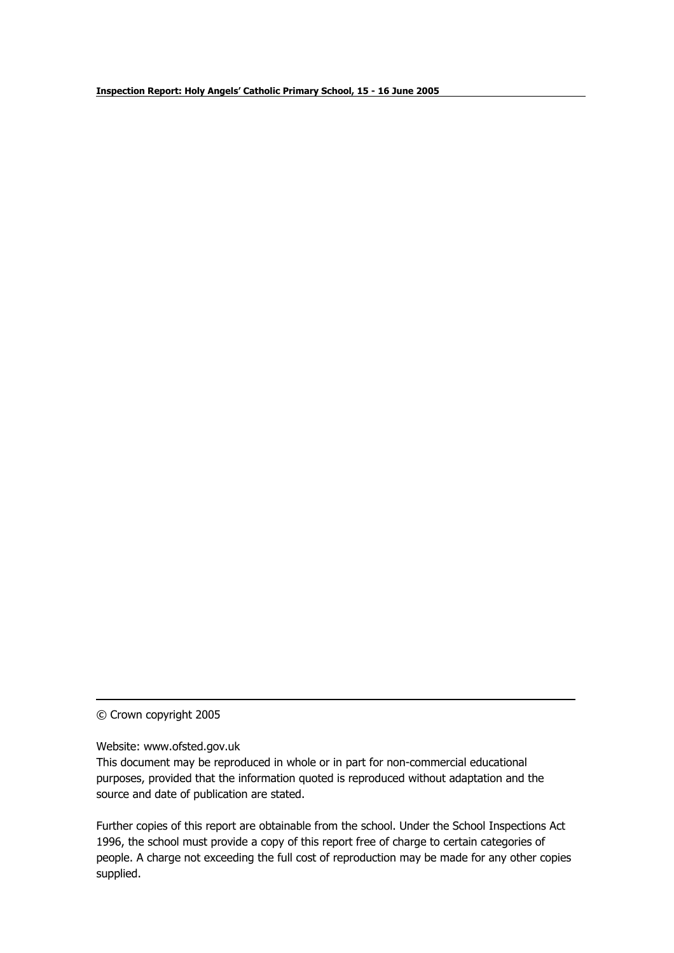© Crown copyright 2005

Website: www.ofsted.gov.uk

This document may be reproduced in whole or in part for non-commercial educational purposes, provided that the information quoted is reproduced without adaptation and the source and date of publication are stated.

Further copies of this report are obtainable from the school. Under the School Inspections Act 1996, the school must provide a copy of this report free of charge to certain categories of people. A charge not exceeding the full cost of reproduction may be made for any other copies supplied.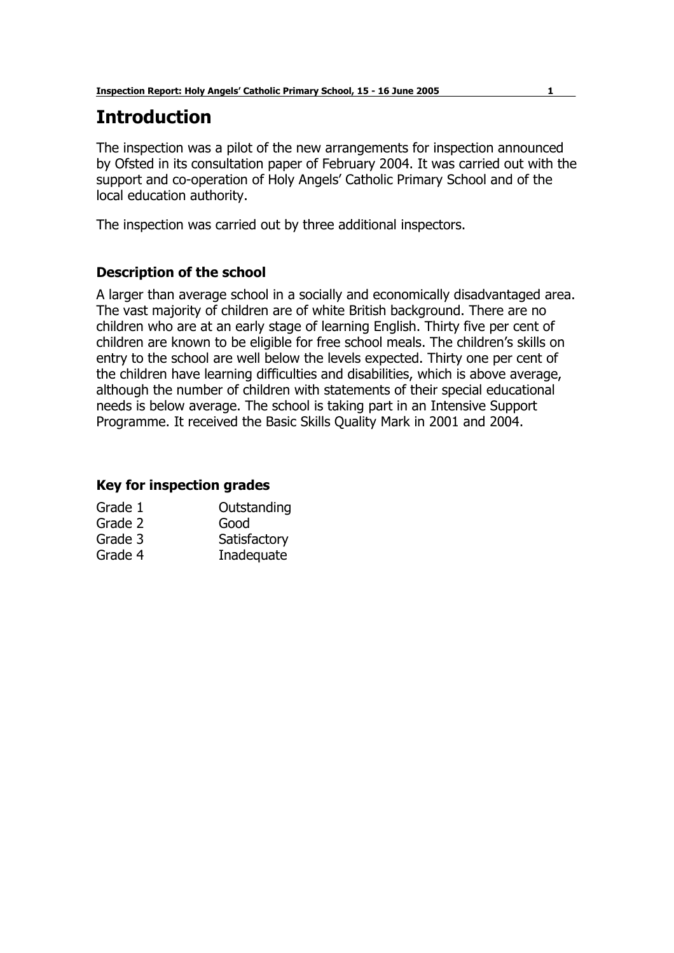## **Introduction**

The inspection was a pilot of the new arrangements for inspection announced by Ofsted in its consultation paper of February 2004. It was carried out with the support and co-operation of Holy Angels' Catholic Primary School and of the local education authority.

The inspection was carried out by three additional inspectors.

#### **Description of the school**

A larger than average school in a socially and economically disadvantaged area. The vast majority of children are of white British background. There are no children who are at an early stage of learning English. Thirty five per cent of children are known to be eligible for free school meals. The childrenís skills on entry to the school are well below the levels expected. Thirty one per cent of the children have learning difficulties and disabilities, which is above average, although the number of children with statements of their special educational needs is below average. The school is taking part in an Intensive Support Programme. It received the Basic Skills Quality Mark in 2001 and 2004.

#### **Key for inspection grades**

| Grade 1 | Outstanding  |
|---------|--------------|
| Grade 2 | Good         |
| Grade 3 | Satisfactory |
| Grade 4 | Inadequate   |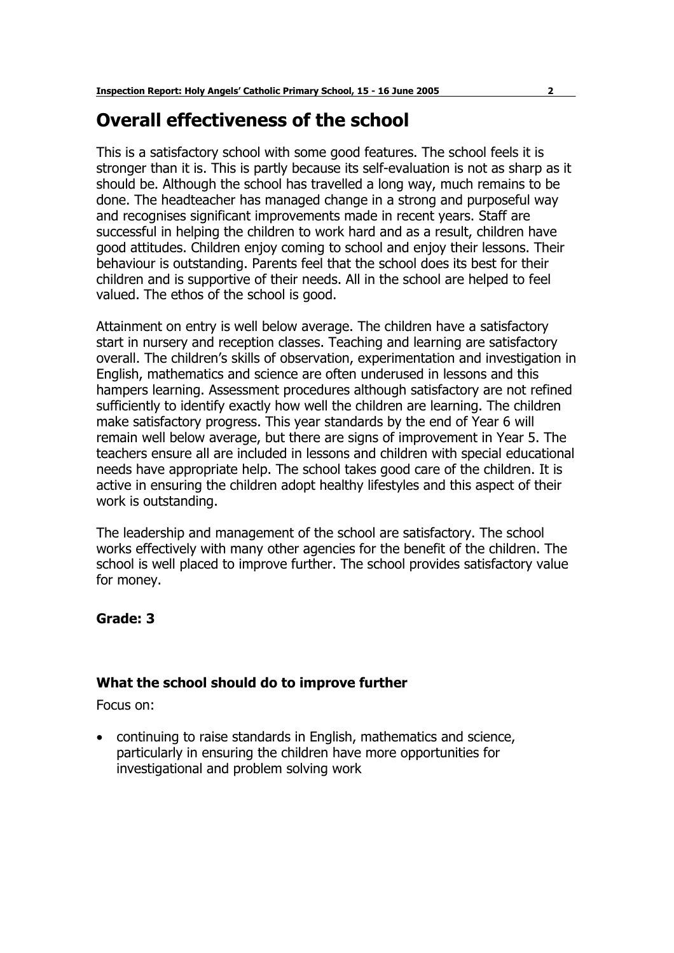## **Overall effectiveness of the school**

This is a satisfactory school with some good features. The school feels it is stronger than it is. This is partly because its self-evaluation is not as sharp as it should be. Although the school has travelled a long way, much remains to be done. The headteacher has managed change in a strong and purposeful way and recognises significant improvements made in recent years. Staff are successful in helping the children to work hard and as a result, children have good attitudes. Children enjoy coming to school and enjoy their lessons. Their behaviour is outstanding. Parents feel that the school does its best for their children and is supportive of their needs. All in the school are helped to feel valued. The ethos of the school is good.

Attainment on entry is well below average. The children have a satisfactory start in nursery and reception classes. Teaching and learning are satisfactory overall. The childrenís skills of observation, experimentation and investigation in English, mathematics and science are often underused in lessons and this hampers learning. Assessment procedures although satisfactory are not refined sufficiently to identify exactly how well the children are learning. The children make satisfactory progress. This year standards by the end of Year 6 will remain well below average, but there are signs of improvement in Year 5. The teachers ensure all are included in lessons and children with special educational needs have appropriate help. The school takes good care of the children. It is active in ensuring the children adopt healthy lifestyles and this aspect of their work is outstanding.

The leadership and management of the school are satisfactory. The school works effectively with many other agencies for the benefit of the children. The school is well placed to improve further. The school provides satisfactory value for money.

#### **Grade: 3**

#### **What the school should do to improve further**

Focus on:

• continuing to raise standards in English, mathematics and science, particularly in ensuring the children have more opportunities for investigational and problem solving work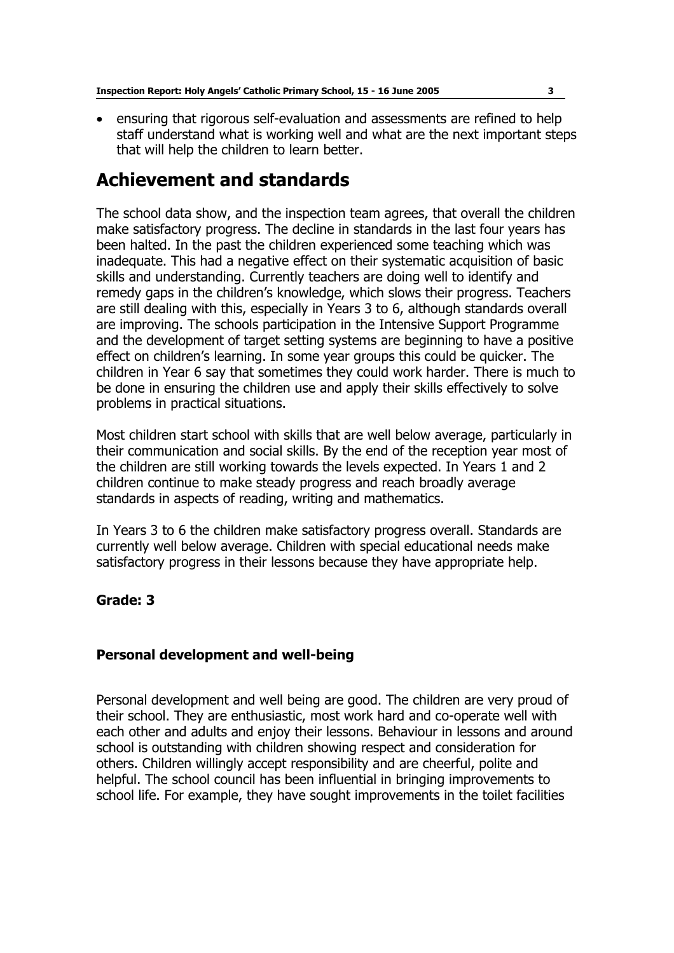• ensuring that rigorous self-evaluation and assessments are refined to help staff understand what is working well and what are the next important steps that will help the children to learn better.

## **Achievement and standards**

The school data show, and the inspection team agrees, that overall the children make satisfactory progress. The decline in standards in the last four years has been halted. In the past the children experienced some teaching which was inadequate. This had a negative effect on their systematic acquisition of basic skills and understanding. Currently teachers are doing well to identify and remedy gaps in the children's knowledge, which slows their progress. Teachers are still dealing with this, especially in Years 3 to 6, although standards overall are improving. The schools participation in the Intensive Support Programme and the development of target setting systems are beginning to have a positive effect on children's learning. In some year groups this could be quicker. The children in Year 6 say that sometimes they could work harder. There is much to be done in ensuring the children use and apply their skills effectively to solve problems in practical situations.

Most children start school with skills that are well below average, particularly in their communication and social skills. By the end of the reception year most of the children are still working towards the levels expected. In Years 1 and 2 children continue to make steady progress and reach broadly average standards in aspects of reading, writing and mathematics.

In Years 3 to 6 the children make satisfactory progress overall. Standards are currently well below average. Children with special educational needs make satisfactory progress in their lessons because they have appropriate help.

#### **Grade: 3**

#### **Personal development and well-being**

Personal development and well being are good. The children are very proud of their school. They are enthusiastic, most work hard and co-operate well with each other and adults and enjoy their lessons. Behaviour in lessons and around school is outstanding with children showing respect and consideration for others. Children willingly accept responsibility and are cheerful, polite and helpful. The school council has been influential in bringing improvements to school life. For example, they have sought improvements in the toilet facilities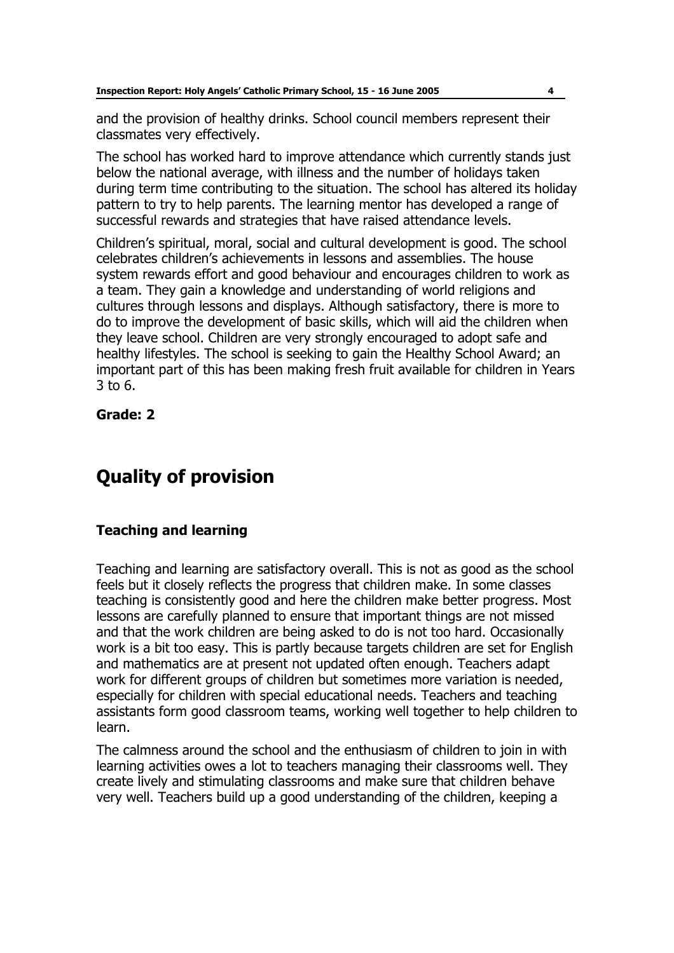and the provision of healthy drinks. School council members represent their classmates very effectively.

The school has worked hard to improve attendance which currently stands just below the national average, with illness and the number of holidays taken during term time contributing to the situation. The school has altered its holiday pattern to try to help parents. The learning mentor has developed a range of successful rewards and strategies that have raised attendance levels.

Childrenís spiritual, moral, social and cultural development is good. The school celebrates childrenís achievements in lessons and assemblies. The house system rewards effort and good behaviour and encourages children to work as a team. They gain a knowledge and understanding of world religions and cultures through lessons and displays. Although satisfactory, there is more to do to improve the development of basic skills, which will aid the children when they leave school. Children are very strongly encouraged to adopt safe and healthy lifestyles. The school is seeking to gain the Healthy School Award; an important part of this has been making fresh fruit available for children in Years 3 to 6.

**Grade: 2** 

# **Quality of provision**

#### **Teaching and learning**

Teaching and learning are satisfactory overall. This is not as good as the school feels but it closely reflects the progress that children make. In some classes teaching is consistently good and here the children make better progress. Most lessons are carefully planned to ensure that important things are not missed and that the work children are being asked to do is not too hard. Occasionally work is a bit too easy. This is partly because targets children are set for English and mathematics are at present not updated often enough. Teachers adapt work for different groups of children but sometimes more variation is needed, especially for children with special educational needs. Teachers and teaching assistants form good classroom teams, working well together to help children to learn.

The calmness around the school and the enthusiasm of children to join in with learning activities owes a lot to teachers managing their classrooms well. They create lively and stimulating classrooms and make sure that children behave very well. Teachers build up a good understanding of the children, keeping a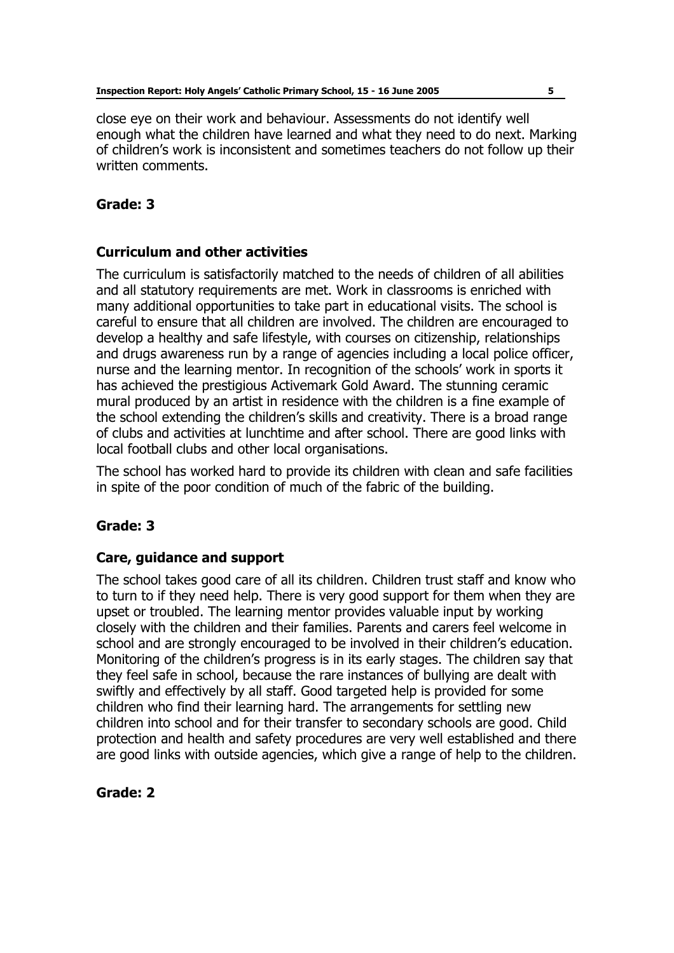close eye on their work and behaviour. Assessments do not identify well enough what the children have learned and what they need to do next. Marking of childrenís work is inconsistent and sometimes teachers do not follow up their written comments.

#### **Grade: 3**

#### **Curriculum and other activities**

The curriculum is satisfactorily matched to the needs of children of all abilities and all statutory requirements are met. Work in classrooms is enriched with many additional opportunities to take part in educational visits. The school is careful to ensure that all children are involved. The children are encouraged to develop a healthy and safe lifestyle, with courses on citizenship, relationships and drugs awareness run by a range of agencies including a local police officer, nurse and the learning mentor. In recognition of the schools' work in sports it has achieved the prestigious Activemark Gold Award. The stunning ceramic mural produced by an artist in residence with the children is a fine example of the school extending the children's skills and creativity. There is a broad range of clubs and activities at lunchtime and after school. There are good links with local football clubs and other local organisations.

The school has worked hard to provide its children with clean and safe facilities in spite of the poor condition of much of the fabric of the building.

#### **Grade: 3**

#### **Care, guidance and support**

The school takes good care of all its children. Children trust staff and know who to turn to if they need help. There is very good support for them when they are upset or troubled. The learning mentor provides valuable input by working closely with the children and their families. Parents and carers feel welcome in school and are strongly encouraged to be involved in their children's education. Monitoring of the children's progress is in its early stages. The children say that they feel safe in school, because the rare instances of bullying are dealt with swiftly and effectively by all staff. Good targeted help is provided for some children who find their learning hard. The arrangements for settling new children into school and for their transfer to secondary schools are good. Child protection and health and safety procedures are very well established and there are good links with outside agencies, which give a range of help to the children.

#### **Grade: 2**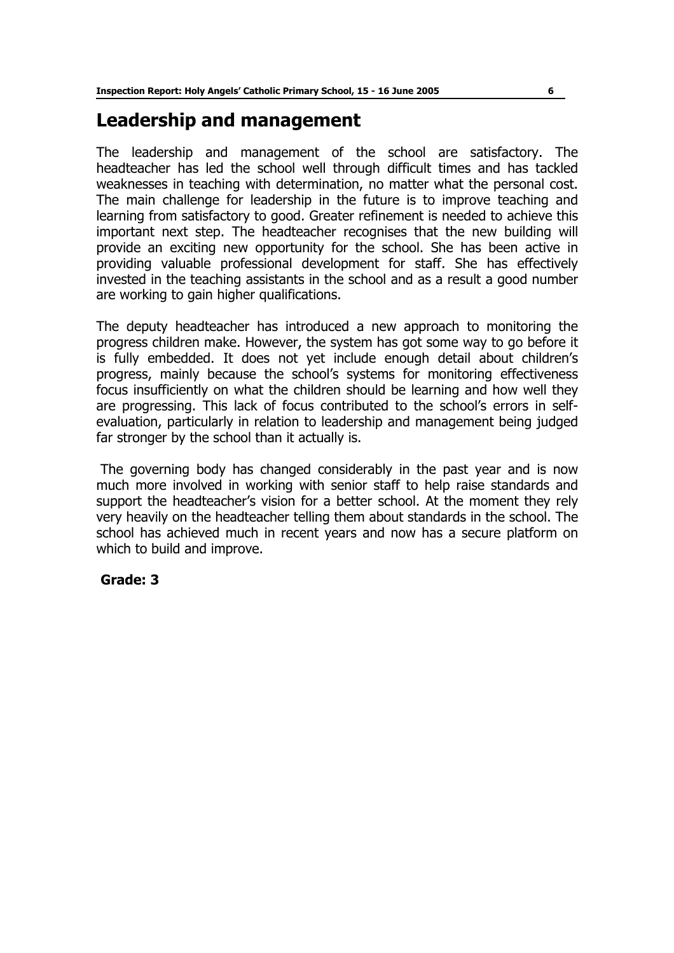## **Leadership and management**

The leadership and management of the school are satisfactory. The headteacher has led the school well through difficult times and has tackled weaknesses in teaching with determination, no matter what the personal cost. The main challenge for leadership in the future is to improve teaching and learning from satisfactory to good. Greater refinement is needed to achieve this important next step. The headteacher recognises that the new building will provide an exciting new opportunity for the school. She has been active in providing valuable professional development for staff. She has effectively invested in the teaching assistants in the school and as a result a good number are working to gain higher qualifications.

The deputy headteacher has introduced a new approach to monitoring the progress children make. However, the system has got some way to go before it is fully embedded. It does not yet include enough detail about children's progress, mainly because the school's systems for monitoring effectiveness focus insufficiently on what the children should be learning and how well they are progressing. This lack of focus contributed to the schoolís errors in selfevaluation, particularly in relation to leadership and management being judged far stronger by the school than it actually is.

 The governing body has changed considerably in the past year and is now much more involved in working with senior staff to help raise standards and support the headteacher's vision for a better school. At the moment they rely very heavily on the headteacher telling them about standards in the school. The school has achieved much in recent years and now has a secure platform on which to build and improve.

#### **Grade: 3**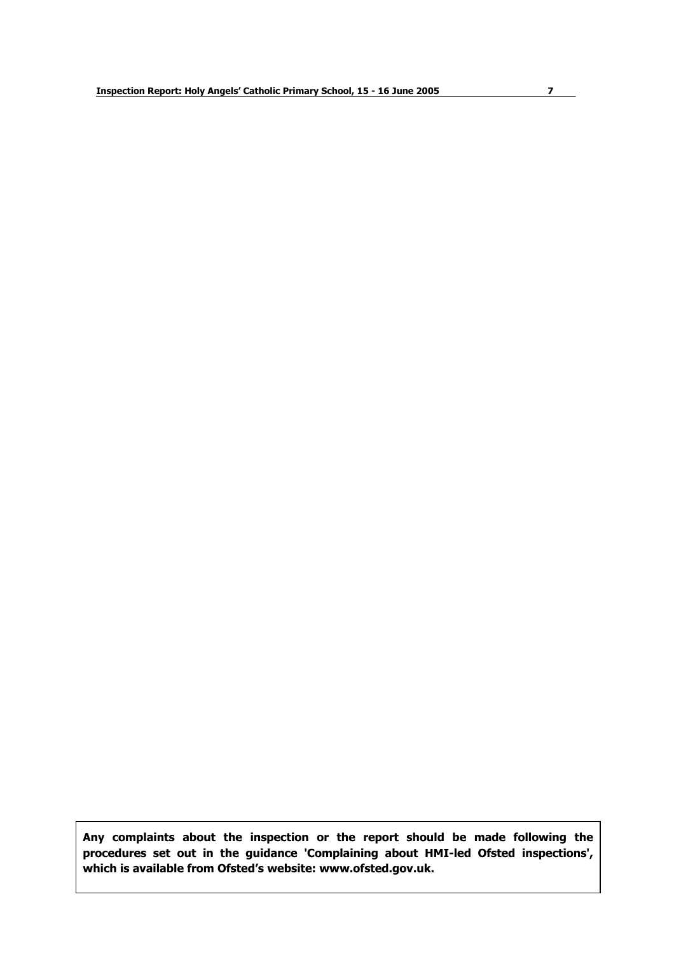**Any complaints about the inspection or the report should be made following the procedures set out in the guidance 'Complaining about HMI-led Ofsted inspections', which is available from Ofstedís website: www.ofsted.gov.uk.**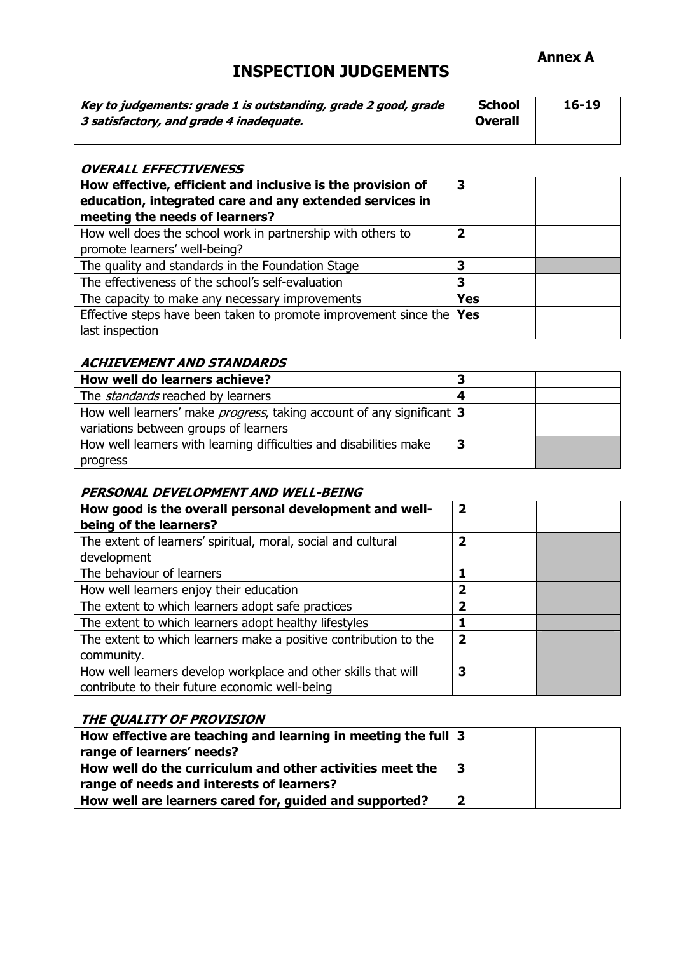#### **Annex A**

### **INSPECTION JUDGEMENTS**

| Key to judgements: grade 1 is outstanding, grade 2 good, grade | <b>School</b>  | $16 - 19$ |
|----------------------------------------------------------------|----------------|-----------|
| 3 satisfactory, and grade 4 inadequate.                        | <b>Overall</b> |           |
|                                                                |                |           |

#### **OVERALL EFFECTIVENESS**

| How effective, efficient and inclusive is the provision of<br>education, integrated care and any extended services in<br>meeting the needs of learners? | 3          |  |
|---------------------------------------------------------------------------------------------------------------------------------------------------------|------------|--|
| How well does the school work in partnership with others to<br>promote learners' well-being?                                                            | 2          |  |
| The quality and standards in the Foundation Stage                                                                                                       | 3          |  |
| The effectiveness of the school's self-evaluation                                                                                                       | 3          |  |
| The capacity to make any necessary improvements                                                                                                         | <b>Yes</b> |  |
| Effective steps have been taken to promote improvement since the Yes<br>last inspection                                                                 |            |  |

#### **ACHIEVEMENT AND STANDARDS**

| How well do learners achieve?                                                 |   |  |
|-------------------------------------------------------------------------------|---|--|
| The <i>standards</i> reached by learners                                      | Δ |  |
| How well learners' make <i>progress</i> , taking account of any significant 3 |   |  |
| variations between groups of learners                                         |   |  |
| How well learners with learning difficulties and disabilities make            |   |  |
| progress                                                                      |   |  |

#### **PERSONAL DEVELOPMENT AND WELL-BEING**

| How good is the overall personal development and well-<br>being of the learners? | $\overline{\mathbf{2}}$ |  |
|----------------------------------------------------------------------------------|-------------------------|--|
| The extent of learners' spiritual, moral, social and cultural                    | 2                       |  |
| development                                                                      |                         |  |
| The behaviour of learners                                                        |                         |  |
| How well learners enjoy their education                                          | 2                       |  |
| The extent to which learners adopt safe practices                                | 2                       |  |
| The extent to which learners adopt healthy lifestyles                            |                         |  |
| The extent to which learners make a positive contribution to the                 | $\mathbf 2$             |  |
| community.                                                                       |                         |  |
| How well learners develop workplace and other skills that will                   | З                       |  |
| contribute to their future economic well-being                                   |                         |  |

#### **THE QUALITY OF PROVISION**

| How effective are teaching and learning in meeting the full 3 |  |
|---------------------------------------------------------------|--|
| range of learners' needs?                                     |  |
| How well do the curriculum and other activities meet the      |  |
| range of needs and interests of learners?                     |  |
| How well are learners cared for, guided and supported?        |  |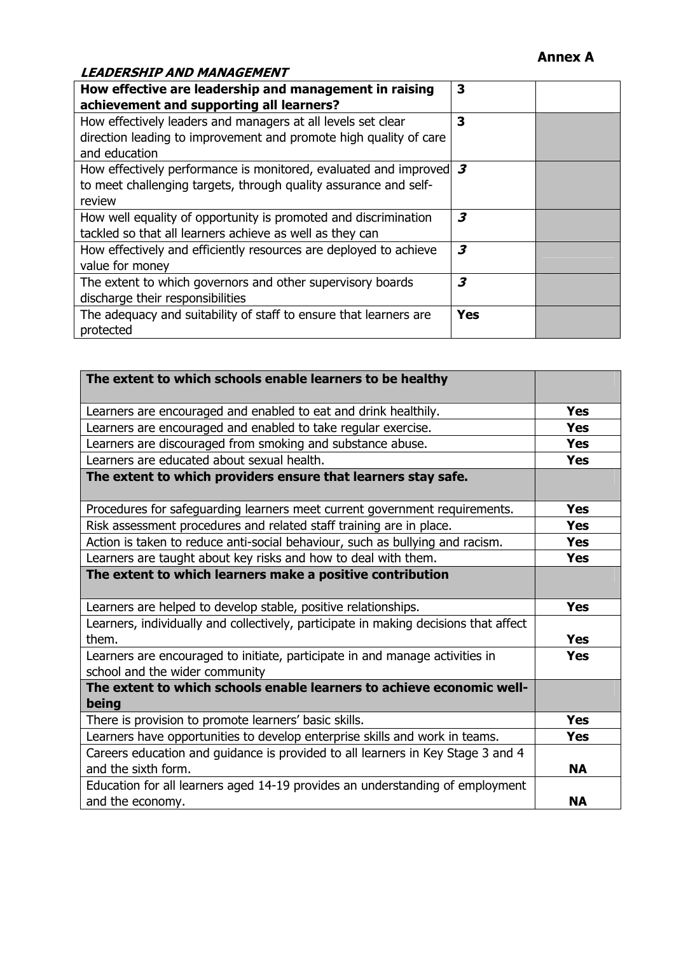#### **Annex A**

#### **LEADERSHIP AND MANAGEMENT**

| How effective are leadership and management in raising                            | 3   |  |
|-----------------------------------------------------------------------------------|-----|--|
| achievement and supporting all learners?                                          |     |  |
| How effectively leaders and managers at all levels set clear                      | 3   |  |
| direction leading to improvement and promote high quality of care                 |     |  |
| and education                                                                     |     |  |
| How effectively performance is monitored, evaluated and improved $\boldsymbol{3}$ |     |  |
| to meet challenging targets, through quality assurance and self-                  |     |  |
| review                                                                            |     |  |
| How well equality of opportunity is promoted and discrimination                   | 3   |  |
| tackled so that all learners achieve as well as they can                          |     |  |
| How effectively and efficiently resources are deployed to achieve                 | 3   |  |
| value for money                                                                   |     |  |
| The extent to which governors and other supervisory boards                        | 3   |  |
| discharge their responsibilities                                                  |     |  |
| The adequacy and suitability of staff to ensure that learners are                 | Yes |  |
| protected                                                                         |     |  |

| The extent to which schools enable learners to be healthy                                                      |            |
|----------------------------------------------------------------------------------------------------------------|------------|
| Learners are encouraged and enabled to eat and drink healthily.                                                | <b>Yes</b> |
| Learners are encouraged and enabled to take regular exercise.                                                  | <b>Yes</b> |
| Learners are discouraged from smoking and substance abuse.                                                     | <b>Yes</b> |
| Learners are educated about sexual health.                                                                     | <b>Yes</b> |
| The extent to which providers ensure that learners stay safe.                                                  |            |
| Procedures for safeguarding learners meet current government requirements.                                     | <b>Yes</b> |
| Risk assessment procedures and related staff training are in place.                                            | <b>Yes</b> |
| Action is taken to reduce anti-social behaviour, such as bullying and racism.                                  | <b>Yes</b> |
| Learners are taught about key risks and how to deal with them.                                                 | <b>Yes</b> |
| The extent to which learners make a positive contribution                                                      |            |
| Learners are helped to develop stable, positive relationships.                                                 | <b>Yes</b> |
| Learners, individually and collectively, participate in making decisions that affect<br>them.                  | <b>Yes</b> |
| Learners are encouraged to initiate, participate in and manage activities in<br>school and the wider community | <b>Yes</b> |
| The extent to which schools enable learners to achieve economic well-<br>being                                 |            |
| There is provision to promote learners' basic skills.                                                          | <b>Yes</b> |
| Learners have opportunities to develop enterprise skills and work in teams.                                    | <b>Yes</b> |
| Careers education and guidance is provided to all learners in Key Stage 3 and 4                                |            |
| and the sixth form.                                                                                            | <b>NA</b>  |
| Education for all learners aged 14-19 provides an understanding of employment<br>and the economy.              | <b>NA</b>  |